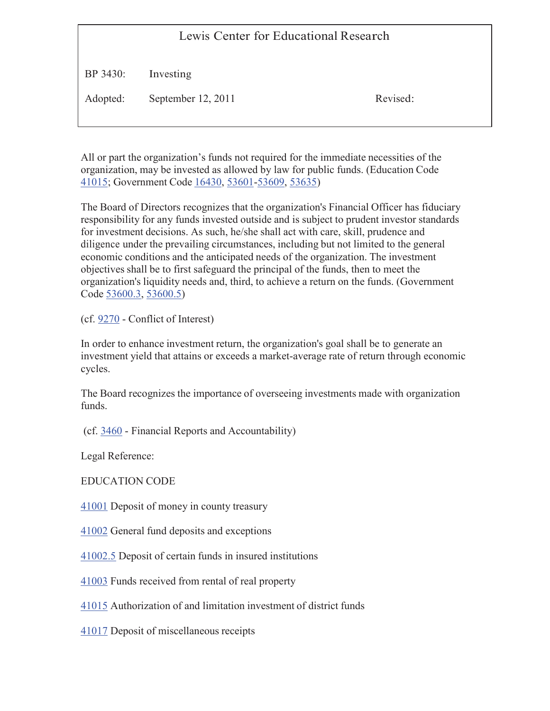## Lewis Center for Educational Research

BP 3430: Investing

Adopted: September 12, 2011 Revised:

All or part the organization's funds not required for the immediate necessities of the organization, may be invested as allowed by law for public funds. (Education Code 41015; Government Code 16430, 53601-53609, 53635)

The Board of Directors recognizes that the organization's Financial Officer has fiduciary responsibility for any funds invested outside and is subject to prudent investor standards for investment decisions. As such, he/she shall act with care, skill, prudence and diligence under the prevailing circumstances, including but not limited to the general economic conditions and the anticipated needs of the organization. The investment objectives shall be to first safeguard the principal of the funds, then to meet the organization's liquidity needs and, third, to achieve a return on the funds. (Government Code 53600.3, 53600.5)

(cf. 9270 - Conflict of Interest)

In order to enhance investment return, the organization's goal shall be to generate an investment yield that attains or exceeds a market-average rate of return through economic cycles.

The Board recognizes the importance of overseeing investments made with organization funds.

(cf. 3460 - Financial Reports and Accountability)

Legal Reference:

EDUCATION CODE

41001 Deposit of money in county treasury

41002 General fund deposits and exceptions

41002.5 Deposit of certain funds in insured institutions

41003 Funds received from rental of real property

41015 Authorization of and limitation investment of district funds

41017 Deposit of miscellaneous receipts